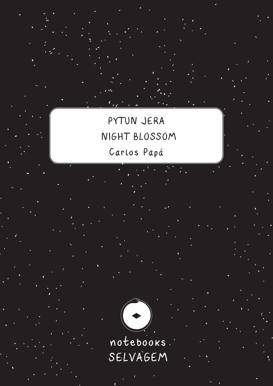PYTUN JERA NIGHT BLOSSOM Carlos Papá



SELVAGEM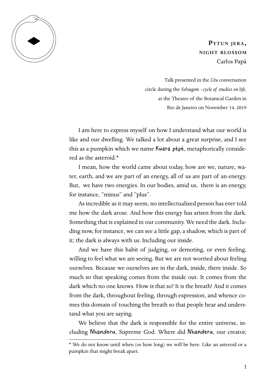

**Pytun jera, night blossom** Carlos Papá

Talk presented in the *Céu* conversation circle during the *Selvagem - cycle of studies on life*, at the Theater of the Botanical Garden in Rio de Janeiro on November 14, 2019

I am here to express myself on how I understand what our world is like and our dwelling. We talked a lot about a great surprise, and I see this as a pumpkin which we name Kuara pépé, metaphorically considered as the asteroid.\*

I mean, how the world came about today, how are we, nature, water, earth, and we are part of an energy, all of us are part of an energy. But, we have two energies. In our bodies, amid us, there is an energy, for instance, "minus" and "plus".

As incredible as it may seem, no intellectualized person has ever told me how the dark arose. And how this energy has arisen from the dark. Something that is explained in our community. We need the dark. Including now, for instance, we can see a little gap, a shadow, which is part of it; the dark is always with us. Including our inside.

And we have this habit of judging, or demoting, or even feeling, willing to feel what we are seeing. But we are not worried about feeling ourselves. Because we ourselves are in the dark, inside, there inside. So much so that speaking comes from the inside out. It comes from the dark which no one knows. How is that so? It is the breath! And it comes from the dark, throughout feeling, through expression, and whence comes this domain of touching the breath so that people hear and understand what you are saying.

We believe that the dark is responsible for the entire universe, including Nhanderu, Supreme God. Where did Nhanderu, our creator,

<sup>\*</sup> We do not know until when (or how long) we will be here. Like an asteroid or a pumpkin that might break apart.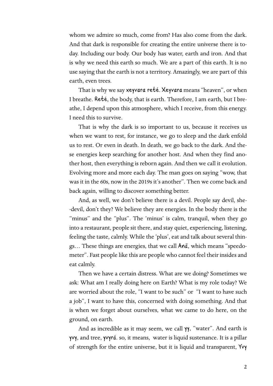whom we admire so much, come from? Has also come from the dark. And that dark is responsible for creating the entire universe there is today. Including our body. Our body has water, earth and iron. And that is why we need this earth so much. We are a part of this earth. It is no use saying that the earth is not a territory. Amazingly, we are part of this earth, even trees.

That is why we say xeyvara reté. Xeyvara means "heaven", or when I breathe. Reté, the body, that is earth. Therefore, I am earth, but I breathe, I depend upon this atmosphere, which I receive, from this energy. I need this to survive.

That is why the dark is so important to us, because it receives us when we want to rest, for instance, we go to sleep and the dark enfold us to rest. Or even in death. In death, we go back to the dark. And these energies keep searching for another host. And when they find another host, then everything is reborn again. And then we call it evolution. Evolving more and more each day. The man goes on saying "wow, that was it in the 60s, now in the 2019s it's another". Then we come back and back again, willing to discover something better.

And, as well, we don't believe there is a devil. People say devil, she- -devil, don't they? We believe they are energies. In the body there is the "minus" and the "plus". The 'minus' is calm, tranquil, when they go into a restaurant, people sit there, and stay quiet, experiencing, listening, feeling the taste, calmly. While the 'plus', eat and talk about several things… These things are energies, that we call Anã, which means "speedometer". Fast people like this are people who cannot feel their insides and eat calmly.

Then we have a certain distress. What are we doing? Sometimes we ask: What am I really doing here on Earth? What is my role today? We are worried about the role, "I want to be such" or "I want to have such a job", I want to have this, concerned with doing something. And that is when we forget about ourselves, what we came to do here, on the ground, on earth.

And as incredible as it may seem, we call  $\gamma$ , "water". And earth is yvy, and tree, yvyrá. so, it means, water is liquid sustenance. It is a pillar of strength for the entire universe, but it is liquid and transparent, Yvy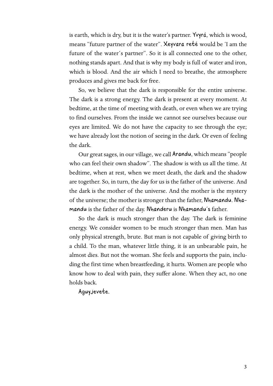is earth, which is dry, but it is the water's partner. Yvyrá, which is wood, means "future partner of the water". Xeyvara reté would be 'I am the future of the water´s partner". So it is all connected one to the other, nothing stands apart. And that is why my body is full of water and iron, which is blood. And the air which I need to breathe, the atmosphere produces and gives me back for free.

So, we believe that the dark is responsible for the entire universe. The dark is a strong energy. The dark is present at every moment. At bedtime, at the time of meeting with death, or even when we are trying to find ourselves. From the inside we cannot see ourselves because our eyes are limited. We do not have the capacity to see through the eye; we have already lost the notion of seeing in the dark. Or even of feeling the dark.

Our great sages, in our village, we call Arandu, which means "people who can feel their own shadow". The shadow is with us all the time. At bedtime, when at rest, when we meet death, the dark and the shadow are together. So, in turn, the day for us is the father of the universe. And the dark is the mother of the universe. And the mother is the mystery of the universe; the mother is stronger than the father, Nhamandu. Nhamandu is the father of the day. Nhanderu is Nhamandu´s father.

So the dark is much stronger than the day. The dark is feminine energy. We consider women to be much stronger than men. Man has only physical strength, brute. But man is not capable of giving birth to a child. To the man, whatever little thing, it is an unbearable pain, he almost dies. But not the woman. She feels and supports the pain, including the first time when breastfeeding, it hurts. Women are people who know how to deal with pain, they suffer alone. When they act, no one holds back.

Aguyjevete*.*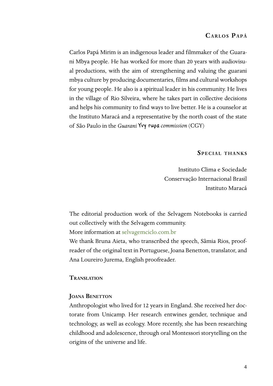# **Carlos Papá**

Carlos Papá Mirim is an indigenous leader and filmmaker of the Guarani Mbya people. He has worked for more than 20 years with audiovisual productions, with the aim of strengthening and valuing the guarani mbya culture by producing documentaries, films and cultural workshops for young people. He also is a spiritual leader in his community. He lives in the village of Rio Silveira, where he takes part in collective decisions and helps his community to find ways to live better. He is a counselor at the Instituto Maracá and a representative by the north coast of the state of São Paulo in the *Guarani* Yvy rupa *commission* (CGY)

### **Special thanks**

Instituto Clima e Sociedade Conservação Internacional Brasil Instituto Maracá

The editorial production work of the Selvagem Notebooks is carried out collectively with the Selvagem community.

More information at [selvagemciclo.com.br](http://selvagemciclo.com.br/)

We thank Bruna Aieta, who transcribed the speech, Sâmia Rios, proofreader of the original text in Portuguese, Joana Benetton, translator, and Ana Loureiro Jurema, English proofreader.

#### **Translation**

#### **JOANA BENETTON**

Anthropologist who lived for 12 years in England. She received her doctorate from Unicamp. Her research entwines gender, technique and technology, as well as ecology. More recently, she has been researching childhood and adolescence, through oral Montessori storytelling on the origins of the universe and life.